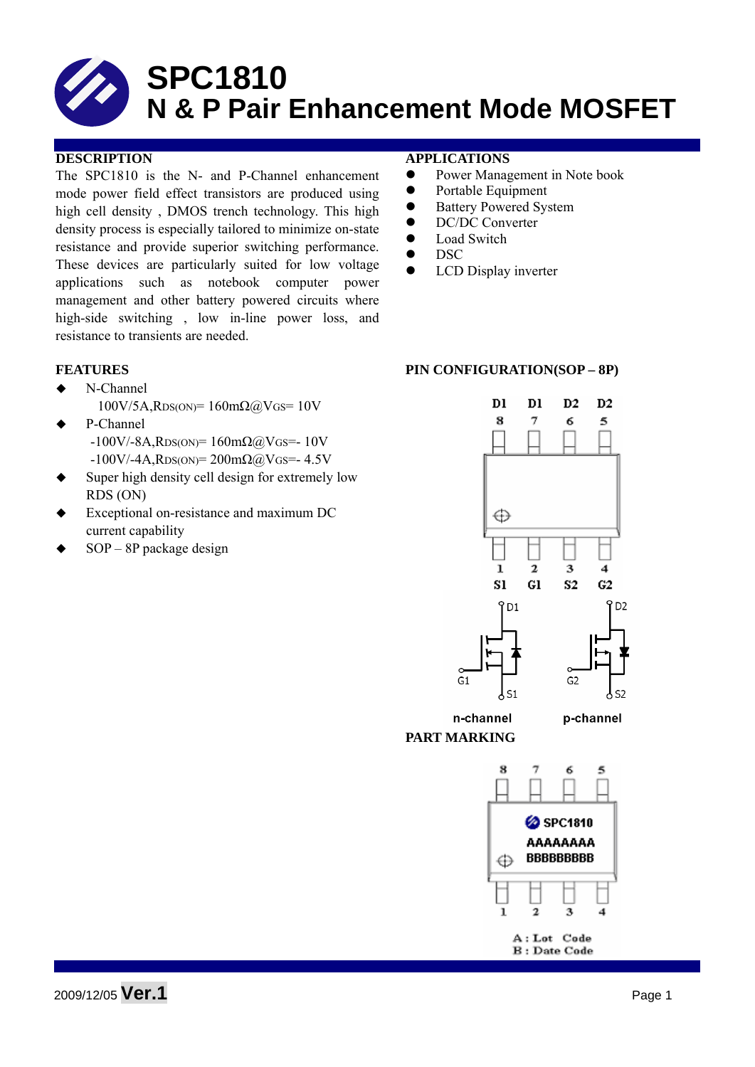#### **DESCRIPTION APPLICATIONS**

The SPC1810 is the N- and P-Channel enhancement mode power field effect transistors are produced using high cell density , DMOS trench technology. This high density process is especially tailored to minimize on-state resistance and provide superior switching performance. These devices are particularly suited for low voltage applications such as notebook computer power management and other battery powered circuits where high-side switching , low in-line power loss, and resistance to transients are needed.

- ◆ N-Channel  $100V/5A$ , $RDS(ON) = 160m\Omega$  (a) $V$  GS = 10V
	- P-Channel  $-100V/ - 8A$ , RDS(ON)= 160mΩ@VGS=- 10V  $-100V/-4A$ , RDS(ON)= 200mΩ@VGS=- 4.5V
- Super high density cell design for extremely low RDS (ON)
- Exceptional on-resistance and maximum DC current capability
- SOP 8P package design

- Power Management in Note book
- Portable Equipment
- Battery Powered System
- DC/DC Converter
- $\bullet$  Load Switch
- $\bullet$  DSC
- LCD Display inverter

#### **FEATURES** PIN CONFIGURATION(SOP – 8P)



A: Lot Code **B**: Date Code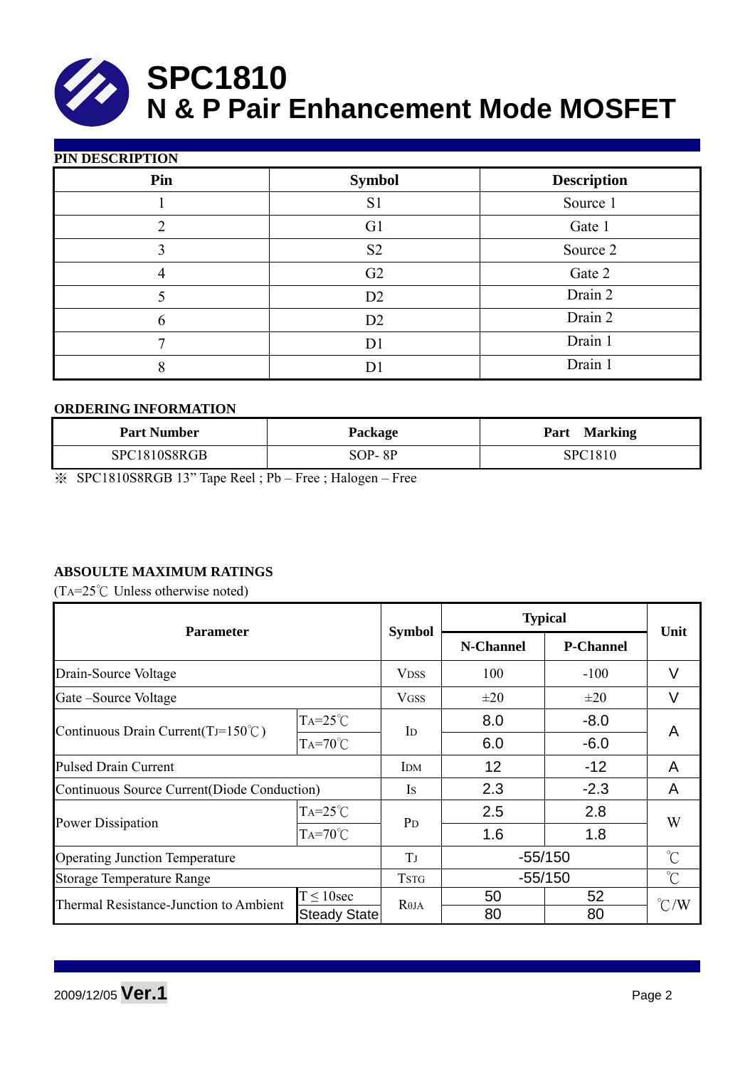

| <b>PIN DESCRIPTION</b> |  |
|------------------------|--|

| Pin | <b>Symbol</b>  | <b>Description</b> |
|-----|----------------|--------------------|
|     | S <sub>1</sub> | Source 1           |
|     | G <sub>1</sub> | Gate 1             |
|     | S <sub>2</sub> | Source 2           |
| Δ   | G2             | Gate 2             |
|     | D <sub>2</sub> | Drain 2            |
| 6   | D <sub>2</sub> | Drain 2            |
|     | D <sub>1</sub> | Drain 1            |
| 8   |                | Drain 1            |

#### **ORDERING INFORMATION**

| <b>Part Number</b> | Package  | <b>Marking</b><br>Part |
|--------------------|----------|------------------------|
| SPC1810S8RGB       | $SOP-8P$ | SPC1810                |

※ SPC1810S8RGB 13" Tape Reel ; Pb – Free ; Halogen – Free

### **ABSOULTE MAXIMUM RATINGS**

(TA= $25^{\circ}$ C Unless otherwise noted)

| <b>Parameter</b>                             |                   |                   | <b>Typical</b> |                  |                     |  |
|----------------------------------------------|-------------------|-------------------|----------------|------------------|---------------------|--|
|                                              |                   | <b>Symbol</b>     | N-Channel      | <b>P-Channel</b> | Unit                |  |
| Drain-Source Voltage                         |                   | <b>VDSS</b>       | 100            | $-100$           | V                   |  |
| Gate – Source Voltage                        |                   | <b>VGSS</b>       | $\pm 20$       | $\pm 20$         | V                   |  |
|                                              | $TA=25^{\circ}C$  |                   | 8.0            | $-8.0$           | A                   |  |
| Continuous Drain Current(TJ=150 $\degree$ C) | $Ta=70^{\circ}$ C | $\mathbf{I}$      | 6.0            | $-6.0$           |                     |  |
| <b>Pulsed Drain Current</b>                  |                   | <b>IDM</b>        | 12             | $-12$            | A                   |  |
| Continuous Source Current(Diode Conduction)  |                   | <b>Is</b>         | 2.3            | $-2.3$           | A                   |  |
|                                              | $TA=25^{\circ}C$  | P <sub>D</sub>    | 2.5            | 2.8              | W                   |  |
| <b>Power Dissipation</b>                     | $TA=70^{\circ}$ C |                   | 1.6            | 1.8              |                     |  |
| <b>Operating Junction Temperature</b>        |                   | TJ                | $-55/150$      |                  | $\int_{0}^{\infty}$ |  |
| <b>Storage Temperature Range</b>             |                   | <b>TSTG</b>       | $-55/150$      |                  | $\int_{0}^{\infty}$ |  |
| Thermal Resistance-Junction to Ambient       | $T \leq 10$ sec   | R <sub>0</sub> JA | 50             | 52               | $\degree$ C/W       |  |
|                                              | Steady State      |                   | 80             | 80               |                     |  |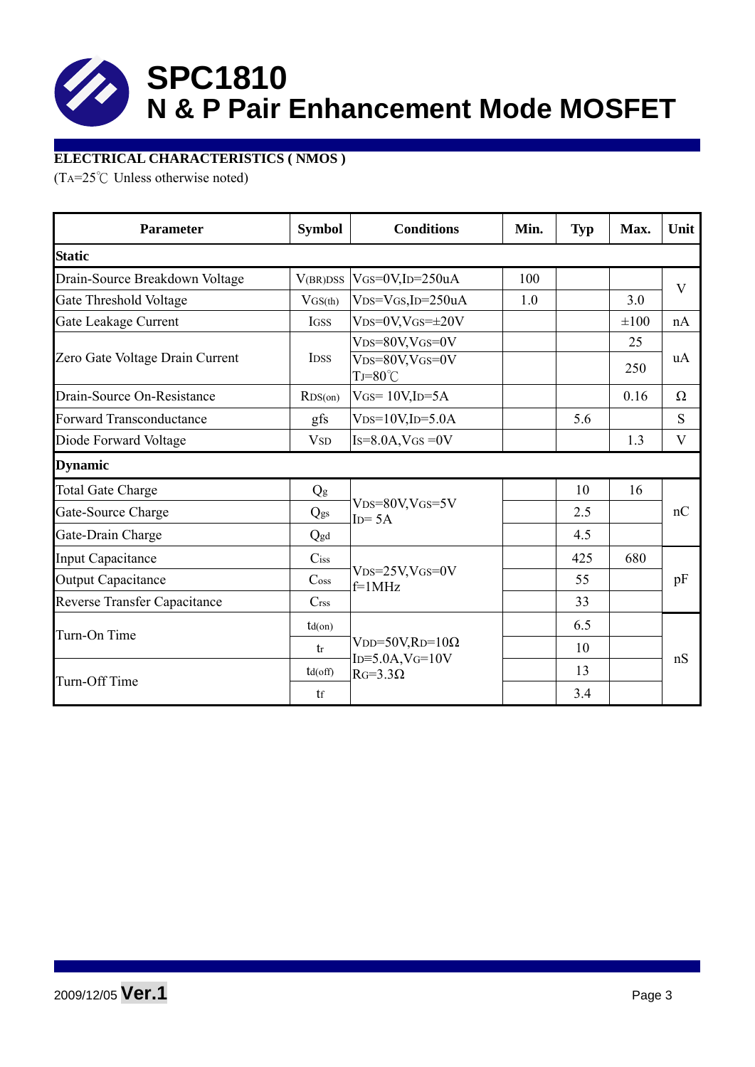

### **ELECTRICAL CHARACTERISTICS ( NMOS )**

(TA=25°C Unless otherwise noted)

| <b>Parameter</b>                    | <b>Symbol</b>               | <b>Conditions</b>                                | Min. | <b>Typ</b> | Max.      | Unit        |  |
|-------------------------------------|-----------------------------|--------------------------------------------------|------|------------|-----------|-------------|--|
| <b>Static</b>                       |                             |                                                  |      |            |           |             |  |
| Drain-Source Breakdown Voltage      | V(BR)DSS                    | $V$ GS=0V,ID=250uA                               | 100  |            |           | V           |  |
| Gate Threshold Voltage              | $V$ GS(th)                  | $V_{DS}=V_{GS}$ , ID=250uA                       | 1.0  |            | 3.0       |             |  |
| Gate Leakage Current                | <b>IGSS</b>                 | $VDS=0V$ , $VGS=\pm 20V$                         |      |            | $\pm 100$ | nA          |  |
|                                     |                             | $V_{DS}=80V$ , $V_{GS}=0V$                       |      |            | 25        |             |  |
| Zero Gate Voltage Drain Current     | <b>IDSS</b>                 | $V_{DS}=80V$ , $V_{GS}=0V$<br>$TJ = 80^{\circ}C$ |      |            | 250       | uA          |  |
| Drain-Source On-Resistance          | RDS(0n)                     | $V$ GS= 10V,ID=5A                                |      |            | 0.16      | $\Omega$    |  |
| <b>Forward Transconductance</b>     | gfs                         | $V_{DS}=10V$ , ID=5.0A                           |      | 5.6        |           | S           |  |
| Diode Forward Voltage               | <b>V</b> <sub>SD</sub>      | $Is=8.0A$ , $VGS=0V$                             |      |            | 1.3       | $\mathbf V$ |  |
| <b>Dynamic</b>                      |                             |                                                  |      |            |           |             |  |
| <b>Total Gate Charge</b>            | Qg                          |                                                  |      | 10         | 16        | nC          |  |
| Gate-Source Charge                  | Qgs                         | $V_{DS}=80V$ , $V_{GS}=5V$<br>$ID = 5A$          |      | 2.5        |           |             |  |
| Gate-Drain Charge                   | Qgd                         |                                                  |      | 4.5        |           |             |  |
| <b>Input Capacitance</b>            | $C$ iss                     |                                                  |      | 425        | 680       | pF          |  |
| <b>Output Capacitance</b>           | $\mathrm{C}_{\mathrm{OSS}}$ | $V_{DS}=25V$ , $V_{GS}=0V$<br>$f=1$ MHz          |      | 55         |           |             |  |
| <b>Reverse Transfer Capacitance</b> | C <sub>rss</sub>            |                                                  |      | 33         |           |             |  |
|                                     | $td($ on $)$                |                                                  |      | 6.5        |           |             |  |
| Turn-On Time                        | tr                          | $VDD=50V, RD=10\Omega$                           |      | 10         |           |             |  |
|                                     | $td($ off $)$               | $ID = 5.0A$ , $V$ $G = 10V$<br>$RG=3.3\Omega$    |      | 13         |           | nS          |  |
| Turn-Off Time                       | tf                          |                                                  |      | 3.4        |           |             |  |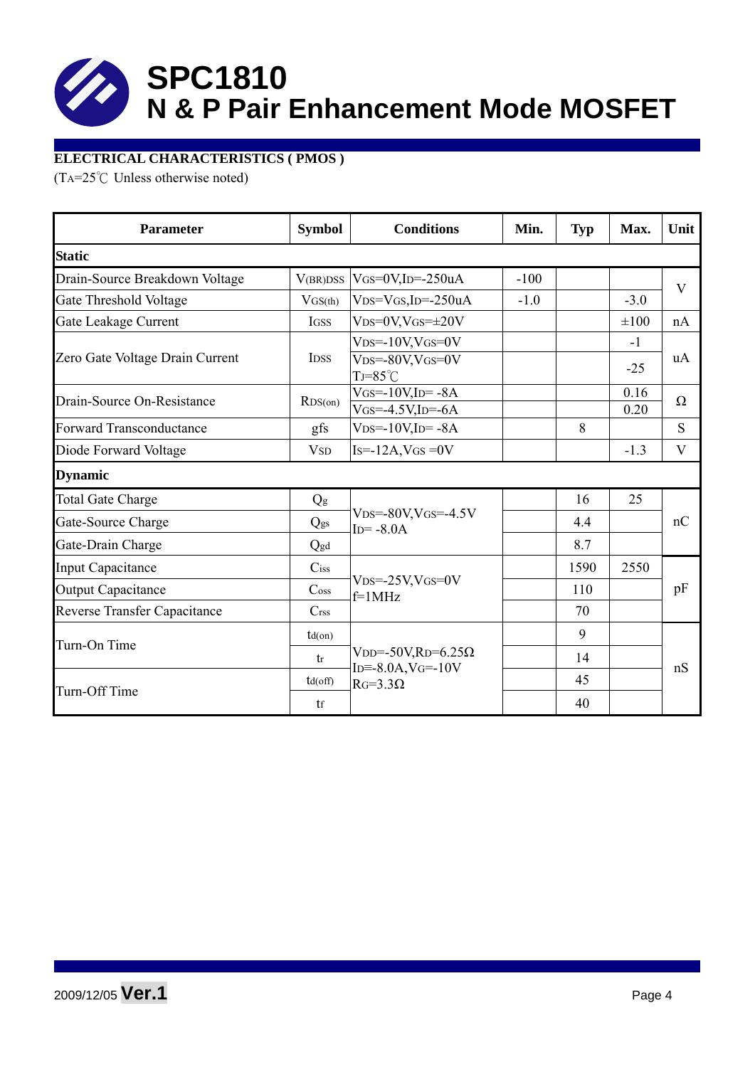

### **ELECTRICAL CHARACTERISTICS ( PMOS )**

(TA=25°C Unless otherwise noted)

| <b>Parameter</b>                    | <b>Symbol</b>               | <b>Conditions</b>                                                                  |        | <b>Typ</b> | Max.          | Unit     |  |
|-------------------------------------|-----------------------------|------------------------------------------------------------------------------------|--------|------------|---------------|----------|--|
| <b>Static</b>                       |                             |                                                                                    |        |            |               |          |  |
| Drain-Source Breakdown Voltage      | V(BR)DSS                    | $V$ GS=0V,ID=-250uA                                                                | $-100$ |            |               | V        |  |
| Gate Threshold Voltage              | VGS(th)                     | $VDS=VGS$ , ID=-250uA                                                              | $-1.0$ |            | $-3.0$        |          |  |
| Gate Leakage Current                | IGSS                        | $VDS=0V$ , $VGS=\pm 20V$                                                           |        |            | $\pm 100$     | nA       |  |
| Zero Gate Voltage Drain Current     | <b>IDSS</b>                 | $V_{DS} = -10V$ , $V_{GS} = 0V$<br>$VDS = -80V$ , $VGS = 0V$<br>$TJ = 85^{\circ}C$ |        |            | $-1$<br>$-25$ | uA       |  |
| Drain-Source On-Resistance          | RDS(0n)                     | $VGS = -10V$ , $ID = -8A$<br>$V$ GS=-4.5V,ID=-6A                                   |        |            | 0.16<br>0.20  | $\Omega$ |  |
| <b>Forward Transconductance</b>     | gfs                         | $VDS = -10V$ , $ID = -8A$                                                          |        | 8          |               | S        |  |
| Diode Forward Voltage               | <b>V</b> <sub>SD</sub>      | $Is = -12A$ , $VGS = 0V$                                                           |        |            | $-1.3$        | V        |  |
| <b>Dynamic</b>                      |                             |                                                                                    |        |            |               |          |  |
| <b>Total Gate Charge</b>            | Q <sub>g</sub>              |                                                                                    |        | 16         | 25            |          |  |
| Gate-Source Charge                  | Qgs                         | $VDS = -80V$ , $VGS = -4.5V$<br>$ID = -8.0A$                                       |        | 4.4        |               | nC       |  |
| Gate-Drain Charge                   | Qgd                         |                                                                                    |        | 8.7        |               |          |  |
| <b>Input Capacitance</b>            | $C$ iss                     |                                                                                    |        | 1590       | 2550          | pF       |  |
| <b>Output Capacitance</b>           | $\mathrm{C}$ <sub>oss</sub> | $V_{DS} = -25V$ , $V_{GS} = 0V$<br>$f=1$ MHz                                       |        | 110        |               |          |  |
| <b>Reverse Transfer Capacitance</b> | C <sub>rss</sub>            |                                                                                    |        | 70         |               |          |  |
|                                     | $td($ on $)$                |                                                                                    |        | 9          |               | nS       |  |
| Turn-On Time                        | tr                          | $VDD = -50V$ , $RD = 6.25\Omega$                                                   |        | 14         |               |          |  |
|                                     | $td($ off $)$               | $ID = -8.0A$ , $V = -10V$<br>$RG=3.3\Omega$                                        |        | 45         |               |          |  |
| Turn-Off Time                       | tf                          |                                                                                    |        | 40         |               |          |  |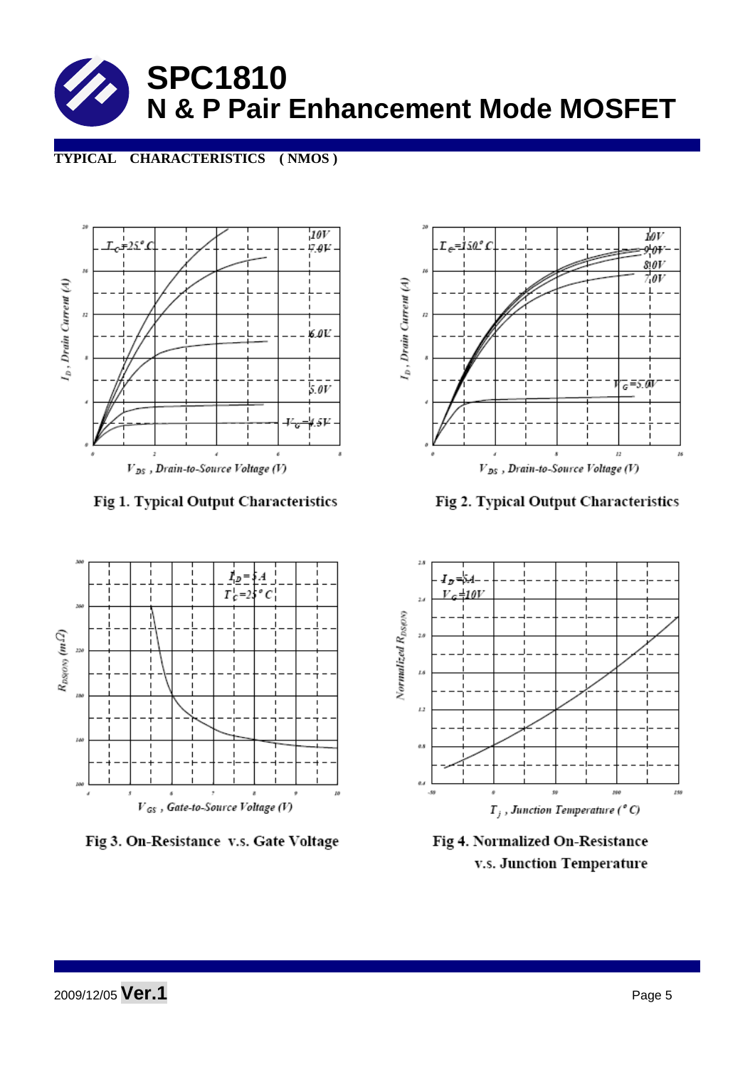

#### **TYPICAL CHARACTERISTICS ( NMOS )**



Fig 1. Typical Output Characteristics



Fig 3. On-Resistance v.s. Gate Voltage



Fig 2. Typical Output Characteristics



Fig 4. Normalized On-Resistance v.s. Junction Temperature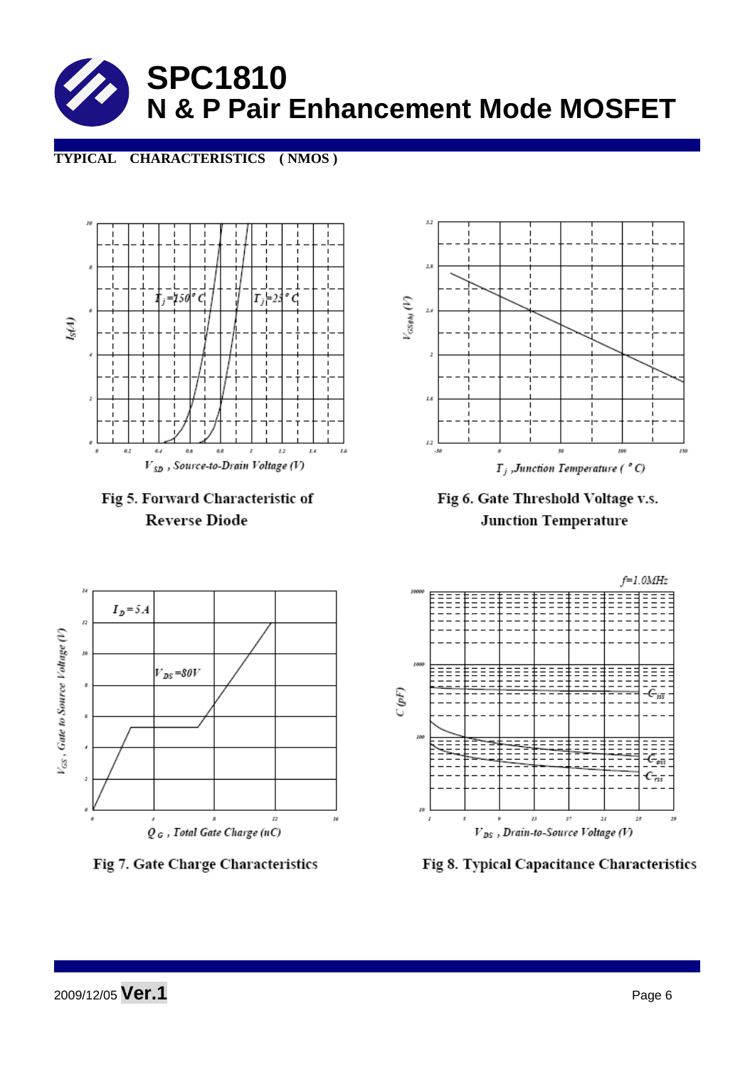

#### **TYPICAL CHARACTERISTICS ( NMOS )**







Fig 6. Gate Threshold Voltage v.s. **Junction Temperature** 







Fig 8. Typical Capacitance Characteristics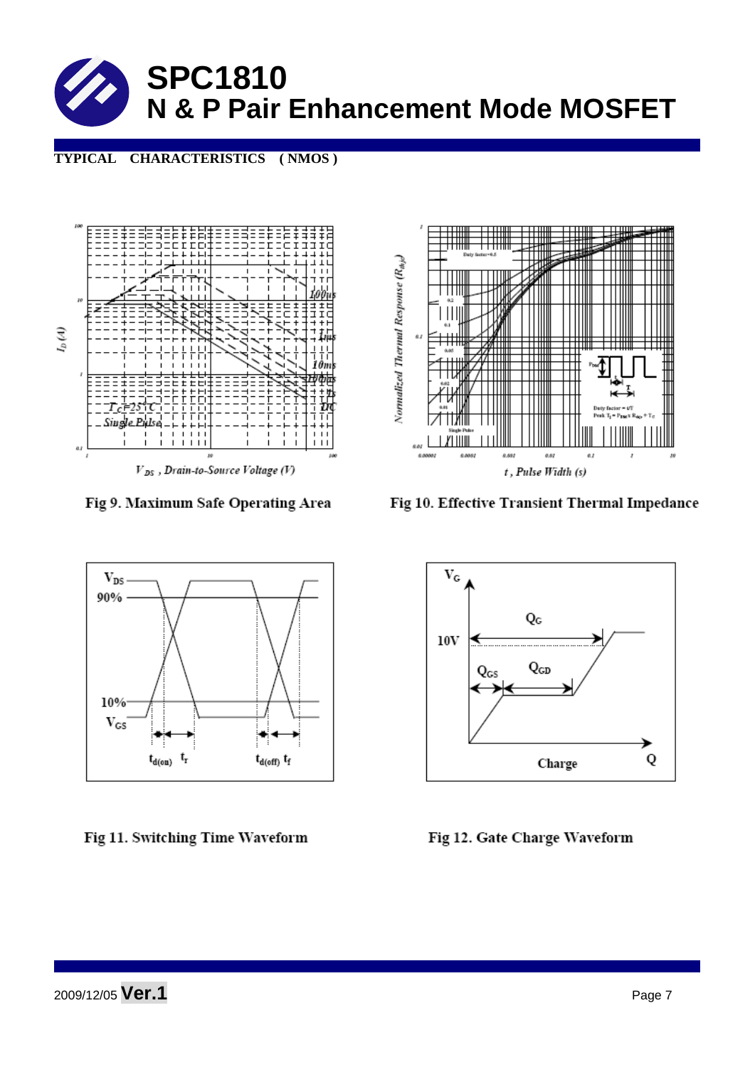

**TYPICAL CHARACTERISTICS ( NMOS )** 



 $V_{DS}$ , Drain-to-Source Voltage (V)

Fig 9. Maximum Safe Operating Area



Fig 10. Effective Transient Thermal Impedance



Fig 11. Switching Time Waveform



Fig 12. Gate Charge Waveform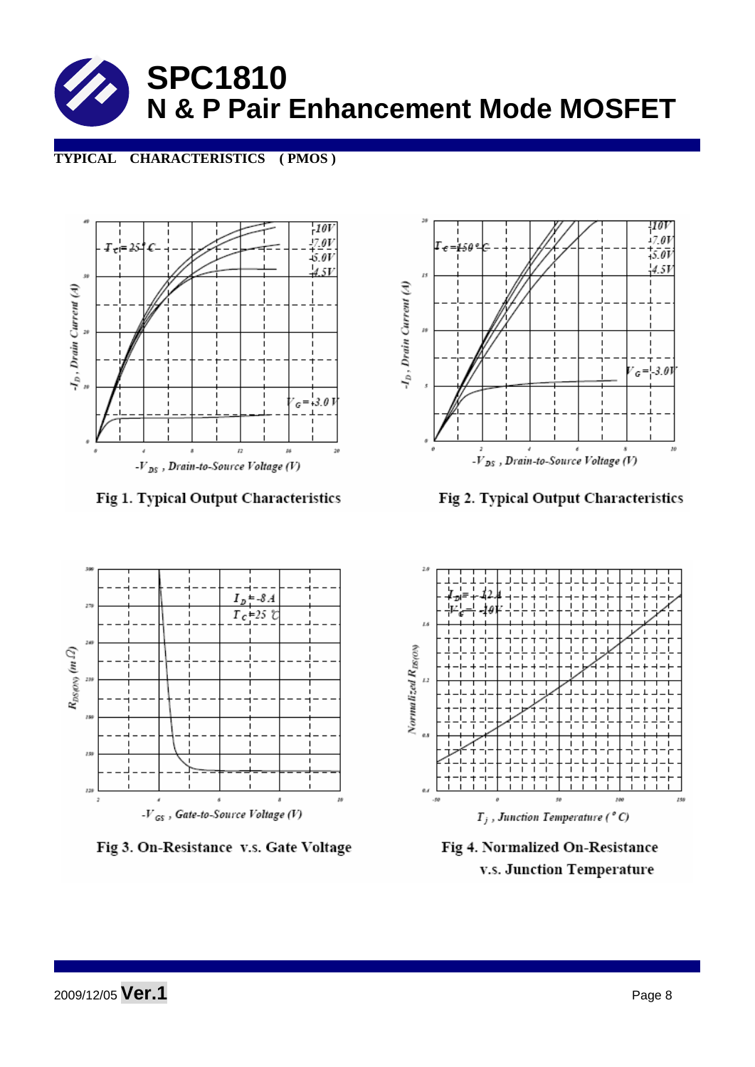

#### **TYPICAL CHARACTERISTICS ( PMOS )**



Fig 1. Typical Output Characteristics



Fig 2. Typical Output Characteristics



Fig 3. On-Resistance v.s. Gate Voltage



Fig 4. Normalized On-Resistance v.s. Junction Temperature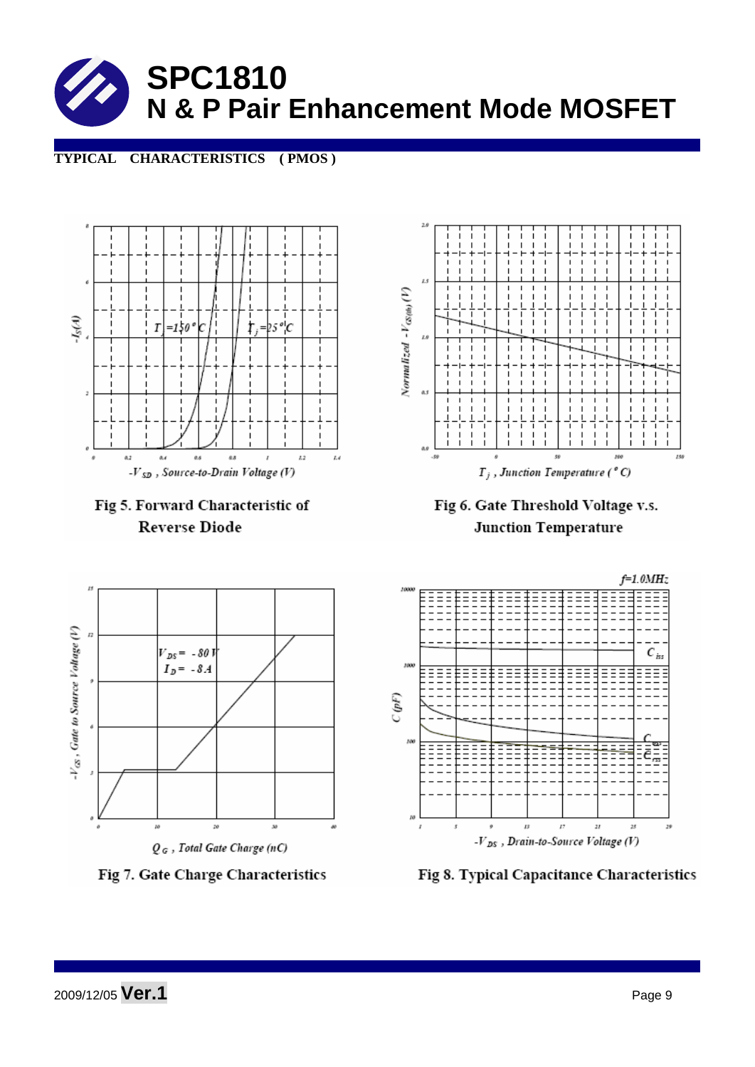

#### **TYPICAL CHARACTERISTICS ( PMOS )**





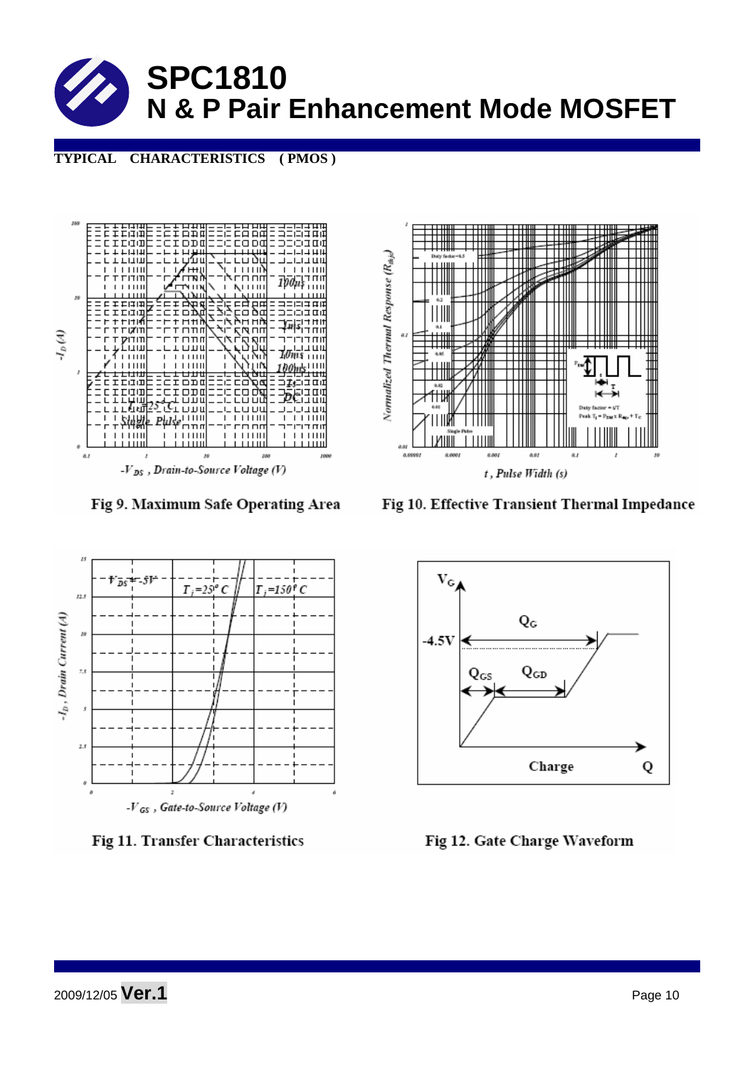

**TYPICAL CHARACTERISTICS ( PMOS )** 



Fig 9. Maximum Safe Operating Area



Fig 10. Effective Transient Thermal Impedance



Fig 11. Transfer Characteristics



Fig 12. Gate Charge Waveform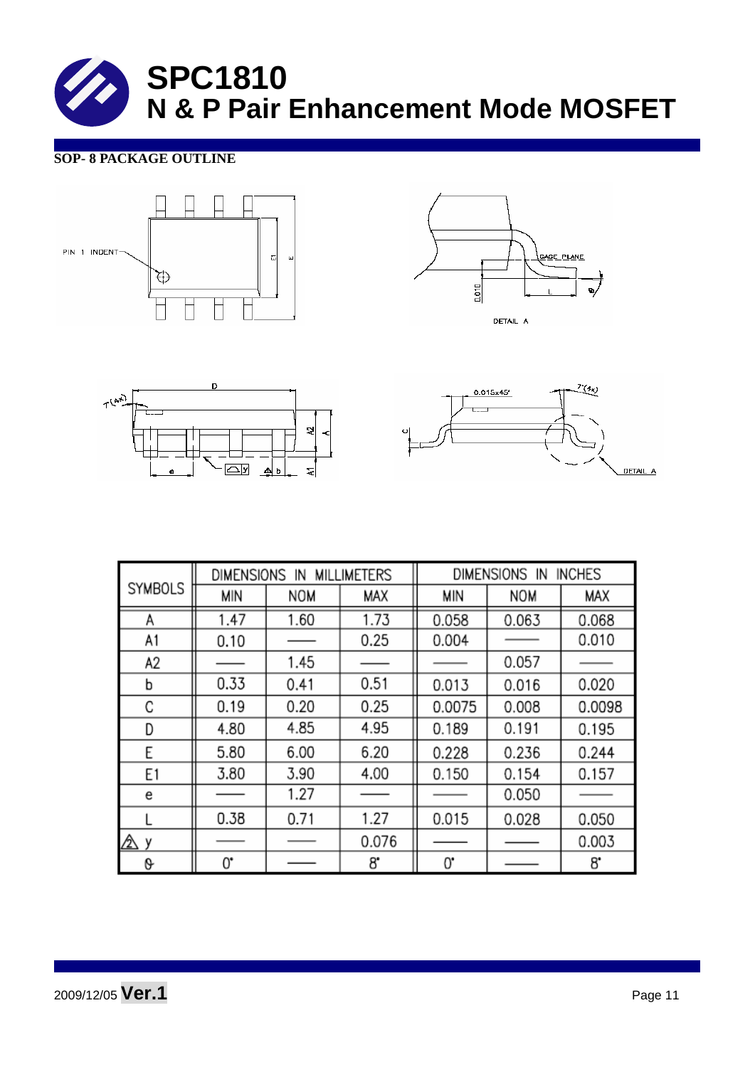#### **SOP- 8 PACKAGE OUTLINE**









|                |      | DIMENSIONS<br><b>MILLIMETERS</b><br>IN |       |        | DIMENSIONS IN | <b>INCHES</b> |
|----------------|------|----------------------------------------|-------|--------|---------------|---------------|
| <b>SYMBOLS</b> | MIN  | <b>NOM</b>                             | MAX   | MIN    | <b>NOM</b>    | MAX           |
| A              | 1.47 | 1.60                                   | 1.73  | 0.058  | 0.063         | 0.068         |
| A1             | 0.10 |                                        | 0.25  | 0.004  |               | 0.010         |
| A2             |      | 1.45                                   |       |        | 0.057         |               |
| b              | 0.33 | 0.41                                   | 0.51  | 0.013  | 0.016         | 0.020         |
| C              | 0.19 | 0.20                                   | 0.25  | 0.0075 | 0.008         | 0.0098        |
| D              | 4.80 | 4.85                                   | 4.95  | 0.189  | 0.191         | 0.195         |
| E              | 5.80 | 6.00                                   | 6.20  | 0.228  | 0.236         | 0.244         |
| E1             | 3.80 | 3.90                                   | 4.00  | 0.150  | 0.154         | 0.157         |
| е              |      | 1.27                                   |       |        | 0.050         |               |
|                | 0.38 | 0.71                                   | 1.27  | 0.015  | 0.028         | 0.050         |
| ⚠<br>۷         |      |                                        | 0.076 |        |               | 0.003         |
| 0              | 0.   |                                        | 8.    | 0.     |               | 8.            |